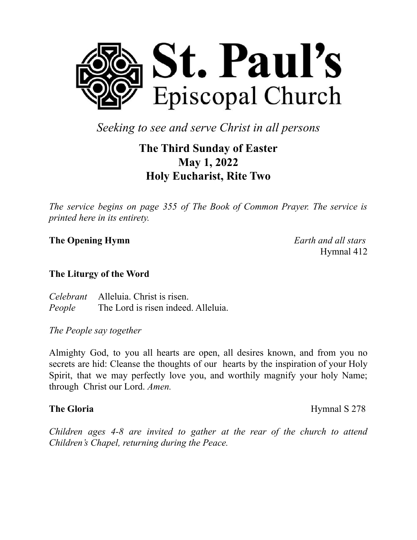

*Seeking to see and serve Christ in all persons*

# **The Third Sunday of Easter May 1, 2022 Holy Eucharist, Rite Two**

*The service begins on page 355 of The Book of Common Prayer. The service is printed here in its entirety.*

**The Opening Hymn** *Earth and all stars*

Hymnal 412

### **The Liturgy of the Word**

*Celebrant* Alleluia. Christ is risen. *People* The Lord is risen indeed. Alleluia.

*The People say together*

Almighty God, to you all hearts are open, all desires known, and from you no secrets are hid: Cleanse the thoughts of our hearts by the inspiration of your Holy Spirit, that we may perfectly love you, and worthily magnify your holy Name; through Christ our Lord. *Amen.*

*Children ages 4-8 are invited to gather at the rear of the church to attend Children's Chapel, returning during the Peace.*

**The Gloria** Hymnal S 278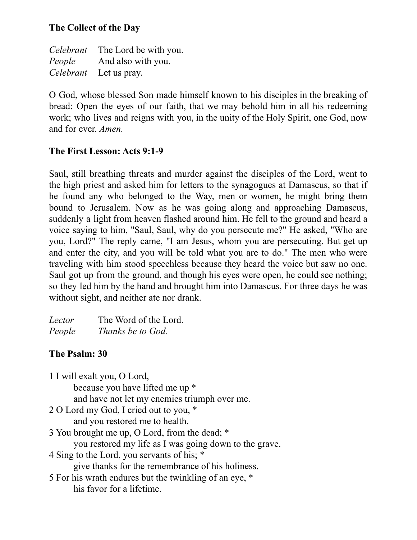### **The Collect of the Day**

*Celebrant* The Lord be with you. *People* And also with you. *Celebrant* Let us pray.

O God, whose blessed Son made himself known to his disciples in the breaking of bread: Open the eyes of our faith, that we may behold him in all his redeeming work; who lives and reigns with you, in the unity of the Holy Spirit, one God, now and for ever. *Amen.*

# **The First Lesson: Acts 9:1-9**

Saul, still breathing threats and murder against the disciples of the Lord, went to the high priest and asked him for letters to the synagogues at Damascus, so that if he found any who belonged to the Way, men or women, he might bring them bound to Jerusalem. Now as he was going along and approaching Damascus, suddenly a light from heaven flashed around him. He fell to the ground and heard a voice saying to him, "Saul, Saul, why do you persecute me?" He asked, "Who are you, Lord?" The reply came, "I am Jesus, whom you are persecuting. But get up and enter the city, and you will be told what you are to do." The men who were traveling with him stood speechless because they heard the voice but saw no one. Saul got up from the ground, and though his eyes were open, he could see nothing; so they led him by the hand and brought him into Damascus. For three days he was without sight, and neither ate nor drank.

| Lector | The Word of the Lord. |
|--------|-----------------------|
| People | Thanks be to God.     |

# **The Psalm: 30**

| 1 I will exalt you, O Lord,                            |
|--------------------------------------------------------|
| because you have lifted me up *                        |
| and have not let my enemies triumph over me.           |
| 2 O Lord my God, I cried out to you, *                 |
| and you restored me to health.                         |
| 3 You brought me up, O Lord, from the dead; *          |
| you restored my life as I was going down to the grave. |
| 4 Sing to the Lord, you servants of his; *             |
| give thanks for the remembrance of his holiness.       |
| 5 For his wrath endures but the twinkling of an eye, * |
| his favor for a lifetime.                              |
|                                                        |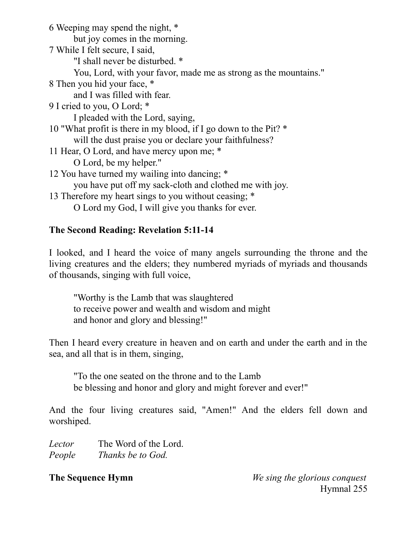6 Weeping may spend the night, \* but joy comes in the morning. 7 While I felt secure, I said, "I shall never be disturbed. \* You, Lord, with your favor, made me as strong as the mountains." 8 Then you hid your face, \* and I was filled with fear. 9 I cried to you, O Lord; \* I pleaded with the Lord, saying, 10 "What profit is there in my blood, if I go down to the Pit? \* will the dust praise you or declare your faithfulness? 11 Hear, O Lord, and have mercy upon me; \* O Lord, be my helper." 12 You have turned my wailing into dancing; \* you have put off my sack-cloth and clothed me with joy. 13 Therefore my heart sings to you without ceasing; \* O Lord my God, I will give you thanks for ever.

### **The Second Reading: Revelation 5:11-14**

I looked, and I heard the voice of many angels surrounding the throne and the living creatures and the elders; they numbered myriads of myriads and thousands of thousands, singing with full voice,

"Worthy is the Lamb that was slaughtered to receive power and wealth and wisdom and might and honor and glory and blessing!"

Then I heard every creature in heaven and on earth and under the earth and in the sea, and all that is in them, singing,

"To the one seated on the throne and to the Lamb be blessing and honor and glory and might forever and ever!"

And the four living creatures said, "Amen!" And the elders fell down and worshiped.

*Lector* The Word of the Lord. *People Thanks be to God.*

**The Sequence Hymn** *We sing the glorious conquest* Hymnal 255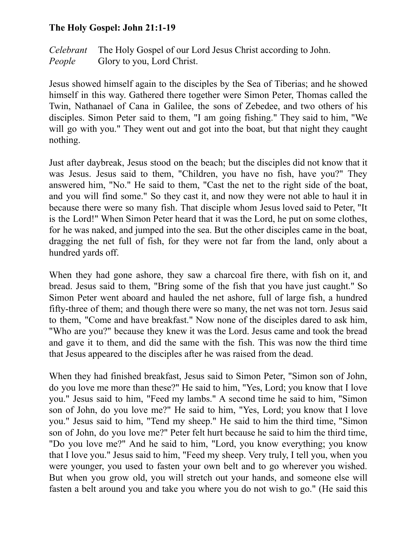### **The Holy Gospel: John 21:1-19**

*Celebrant* The Holy Gospel of our Lord Jesus Christ according to John. *People* Glory to you, Lord Christ.

Jesus showed himself again to the disciples by the Sea of Tiberias; and he showed himself in this way. Gathered there together were Simon Peter, Thomas called the Twin, Nathanael of Cana in Galilee, the sons of Zebedee, and two others of his disciples. Simon Peter said to them, "I am going fishing." They said to him, "We will go with you." They went out and got into the boat, but that night they caught nothing.

Just after daybreak, Jesus stood on the beach; but the disciples did not know that it was Jesus. Jesus said to them, "Children, you have no fish, have you?" They answered him, "No." He said to them, "Cast the net to the right side of the boat, and you will find some." So they cast it, and now they were not able to haul it in because there were so many fish. That disciple whom Jesus loved said to Peter, "It is the Lord!" When Simon Peter heard that it was the Lord, he put on some clothes, for he was naked, and jumped into the sea. But the other disciples came in the boat, dragging the net full of fish, for they were not far from the land, only about a hundred yards off.

When they had gone ashore, they saw a charcoal fire there, with fish on it, and bread. Jesus said to them, "Bring some of the fish that you have just caught." So Simon Peter went aboard and hauled the net ashore, full of large fish, a hundred fifty-three of them; and though there were so many, the net was not torn. Jesus said to them, "Come and have breakfast." Now none of the disciples dared to ask him, "Who are you?" because they knew it was the Lord. Jesus came and took the bread and gave it to them, and did the same with the fish. This was now the third time that Jesus appeared to the disciples after he was raised from the dead.

When they had finished breakfast, Jesus said to Simon Peter, "Simon son of John, do you love me more than these?" He said to him, "Yes, Lord; you know that I love you." Jesus said to him, "Feed my lambs." A second time he said to him, "Simon son of John, do you love me?" He said to him, "Yes, Lord; you know that I love you." Jesus said to him, "Tend my sheep." He said to him the third time, "Simon son of John, do you love me?" Peter felt hurt because he said to him the third time, "Do you love me?" And he said to him, "Lord, you know everything; you know that I love you." Jesus said to him, "Feed my sheep. Very truly, I tell you, when you were younger, you used to fasten your own belt and to go wherever you wished. But when you grow old, you will stretch out your hands, and someone else will fasten a belt around you and take you where you do not wish to go." (He said this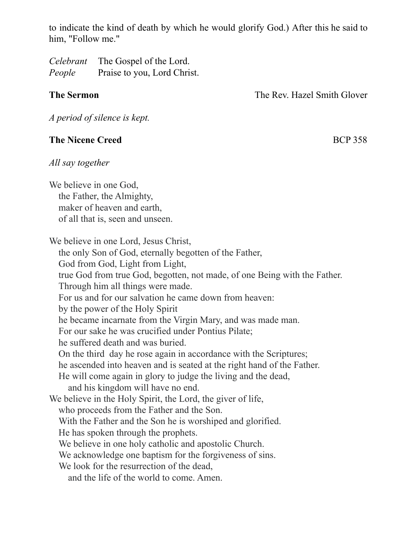to indicate the kind of death by which he would glorify God.) After this he said to him, "Follow me."

*Celebrant* The Gospel of the Lord. *People* Praise to you, Lord Christ.

**The Sermon** The Rev. Hazel Smith Glover

*A period of silence is kept.*

## **The Nicene Creed** BCP 358

### *All say together*

We believe in one God, the Father, the Almighty, maker of heaven and earth, of all that is, seen and unseen.

We believe in one Lord, Jesus Christ, the only Son of God, eternally begotten of the Father, God from God, Light from Light, true God from true God, begotten, not made, of one Being with the Father. Through him all things were made. For us and for our salvation he came down from heaven: by the power of the Holy Spirit he became incarnate from the Virgin Mary, and was made man. For our sake he was crucified under Pontius Pilate; he suffered death and was buried. On the third day he rose again in accordance with the Scriptures; he ascended into heaven and is seated at the right hand of the Father. He will come again in glory to judge the living and the dead, and his kingdom will have no end. We believe in the Holy Spirit, the Lord, the giver of life, who proceeds from the Father and the Son. With the Father and the Son he is worshiped and glorified. He has spoken through the prophets. We believe in one holy catholic and apostolic Church. We acknowledge one baptism for the forgiveness of sins. We look for the resurrection of the dead, and the life of the world to come. Amen.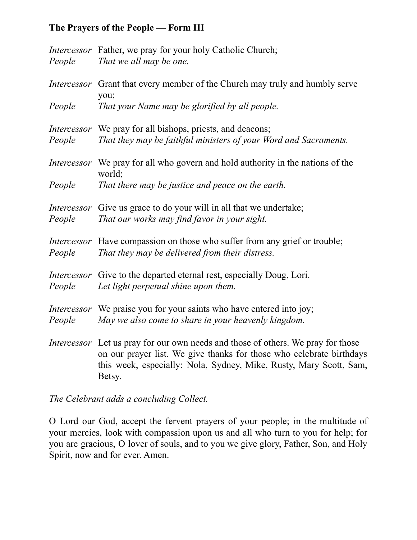## **The Prayers of the People — Form III**

| People | <i>Intercessor</i> Father, we pray for your holy Catholic Church;<br>That we all may be one.                                                                                                                                                    |
|--------|-------------------------------------------------------------------------------------------------------------------------------------------------------------------------------------------------------------------------------------------------|
|        | <i>Intercessor</i> Grant that every member of the Church may truly and humbly serve                                                                                                                                                             |
| People | you;<br>That your Name may be glorified by all people.                                                                                                                                                                                          |
| People | <i>Intercessor</i> We pray for all bishops, priests, and deacons;<br>That they may be faithful ministers of your Word and Sacraments.                                                                                                           |
|        | <i>Intercessor</i> We pray for all who govern and hold authority in the nations of the<br>world;                                                                                                                                                |
| People | That there may be justice and peace on the earth.                                                                                                                                                                                               |
| People | <i>Intercessor</i> Give us grace to do your will in all that we undertake;<br>That our works may find favor in your sight.                                                                                                                      |
| People | <i>Intercessor</i> Have compassion on those who suffer from any grief or trouble;<br>That they may be delivered from their distress.                                                                                                            |
| People | <i>Intercessor</i> Give to the departed eternal rest, especially Doug, Lori.<br>Let light perpetual shine upon them.                                                                                                                            |
| People | Intercessor We praise you for your saints who have entered into joy;<br>May we also come to share in your heavenly kingdom.                                                                                                                     |
|        | <i>Intercessor</i> Let us pray for our own needs and those of others. We pray for those<br>on our prayer list. We give thanks for those who celebrate birthdays<br>this week, especially: Nola, Sydney, Mike, Rusty, Mary Scott, Sam,<br>Betsy. |

*The Celebrant adds a concluding Collect.*

O Lord our God, accept the fervent prayers of your people; in the multitude of your mercies, look with compassion upon us and all who turn to you for help; for you are gracious, O lover of souls, and to you we give glory, Father, Son, and Holy Spirit, now and for ever. Amen.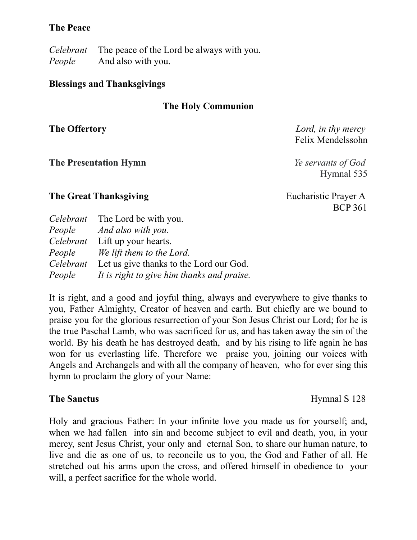### **The Peace**

*Celebrant* The peace of the Lord be always with you. *People* And also with you.

### **Blessings and Thanksgivings**

### **The Holy Communion**

**The Offertory** *Lord, in thy mercy* Felix Mendelssohn

### **The Presentation Hymn** *Ye servants of God*

Hymnal 535

## **The Great Thanksgiving** Eucharistic Prayer A

BCP 361

|           | <i>Celebrant</i> The Lord be with you.     |
|-----------|--------------------------------------------|
|           | People And also with you.                  |
|           | <i>Celebrant</i> Lift up your hearts.      |
|           | People We lift them to the Lord.           |
| Celebrant | Let us give thanks to the Lord our God.    |
| People    | It is right to give him thanks and praise. |

It is right, and a good and joyful thing, always and everywhere to give thanks to you, Father Almighty, Creator of heaven and earth. But chiefly are we bound to praise you for the glorious resurrection of your Son Jesus Christ our Lord; for he is the true Paschal Lamb, who was sacrificed for us, and has taken away the sin of the world. By his death he has destroyed death, and by his rising to life again he has won for us everlasting life. Therefore we praise you, joining our voices with Angels and Archangels and with all the company of heaven, who for ever sing this hymn to proclaim the glory of your Name:

**The Sanctus** Hymnal S 128

Holy and gracious Father: In your infinite love you made us for yourself; and, when we had fallen into sin and become subject to evil and death, you, in your mercy, sent Jesus Christ, your only and eternal Son, to share our human nature, to live and die as one of us, to reconcile us to you, the God and Father of all. He stretched out his arms upon the cross, and offered himself in obedience to your will, a perfect sacrifice for the whole world.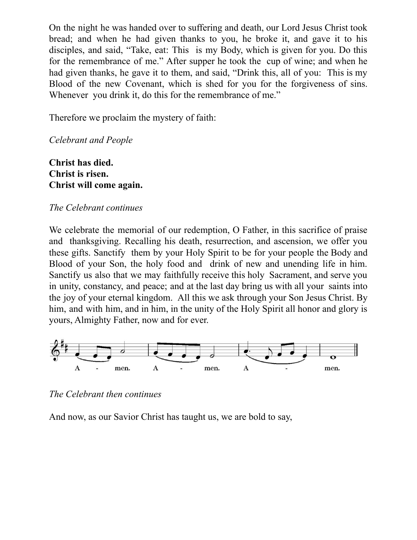On the night he was handed over to suffering and death, our Lord Jesus Christ took bread; and when he had given thanks to you, he broke it, and gave it to his disciples, and said, "Take, eat: This is my Body, which is given for you. Do this for the remembrance of me." After supper he took the cup of wine; and when he had given thanks, he gave it to them, and said, "Drink this, all of you: This is my Blood of the new Covenant, which is shed for you for the forgiveness of sins. Whenever you drink it, do this for the remembrance of me."

Therefore we proclaim the mystery of faith:

*Celebrant and People*

**Christ has died. Christ is risen. Christ will come again.**

### *The Celebrant continues*

We celebrate the memorial of our redemption, O Father, in this sacrifice of praise and thanksgiving. Recalling his death, resurrection, and ascension, we offer you these gifts. Sanctify them by your Holy Spirit to be for your people the Body and Blood of your Son, the holy food and drink of new and unending life in him. Sanctify us also that we may faithfully receive this holy Sacrament, and serve you in unity, constancy, and peace; and at the last day bring us with all your saints into the joy of your eternal kingdom. All this we ask through your Son Jesus Christ. By him, and with him, and in him, in the unity of the Holy Spirit all honor and glory is yours, Almighty Father, now and for ever.



*The Celebrant then continues*

And now, as our Savior Christ has taught us, we are bold to say,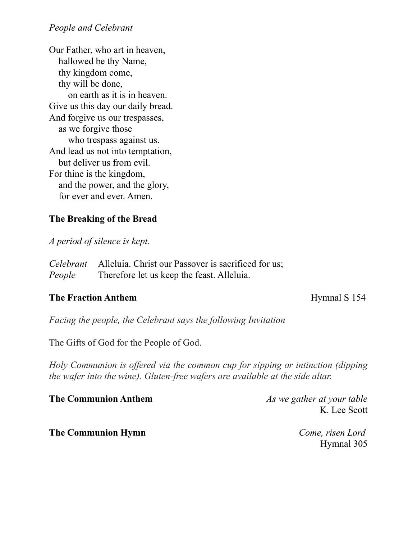### *People and Celebrant*

Our Father, who art in heaven, hallowed be thy Name, thy kingdom come, thy will be done, on earth as it is in heaven. Give us this day our daily bread. And forgive us our trespasses, as we forgive those who trespass against us. And lead us not into temptation, but deliver us from evil. For thine is the kingdom, and the power, and the glory, for ever and ever. Amen.

## **The Breaking of the Bread**

*A period of silence is kept.*

*Celebrant* Alleluia. Christ our Passover is sacrificed for us; *People* Therefore let us keep the feast. Alleluia.

### **The Fraction Anthem** Hymnal S 154

*Facing the people, the Celebrant says the following Invitation*

The Gifts of God for the People of God.

*Holy Communion is of ered via the common cup for sipping or intinction (dipping the wafer into the wine). Gluten-free wafers are available at the side altar.*

**The Communion Anthem** *As we gather at your table*

K. Lee Scott

**The Communion Hymn** *Come, risen Lord*

Hymnal 305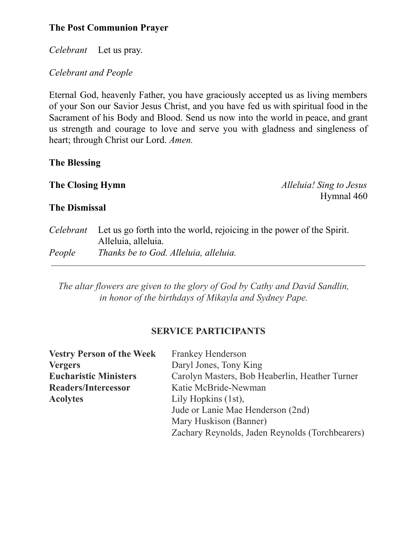### **The Post Communion Prayer**

*Celebrant* Let us pray.

### *Celebrant and People*

Eternal God, heavenly Father, you have graciously accepted us as living members of your Son our Savior Jesus Christ, and you have fed us with spiritual food in the Sacrament of his Body and Blood. Send us now into the world in peace, and grant us strength and courage to love and serve you with gladness and singleness of heart; through Christ our Lord. *Amen.*

### **The Blessing**

| <b>The Closing Hymn</b> | <i>Alleluia!</i> Sing to Jesus                                                                                |
|-------------------------|---------------------------------------------------------------------------------------------------------------|
| <b>The Dismissal</b>    | Hymnal 460                                                                                                    |
|                         | <i>Celebrant</i> Let us go forth into the world, rejoicing in the power of the Spirit.<br>Alleluia, alleluia. |

*People Thanks be to God. Alleluia, alleluia.*

*The altar flowers are given to the glory of God by Cathy and David Sandlin, in honor of the birthdays of Mikayla and Sydney Pape.*

### **SERVICE PARTICIPANTS**

| Frankey Henderson                               |
|-------------------------------------------------|
| Daryl Jones, Tony King                          |
| Carolyn Masters, Bob Heaberlin, Heather Turner  |
| Katie McBride-Newman                            |
| Lily Hopkins (1st),                             |
| Jude or Lanie Mae Henderson (2nd)               |
| Mary Huskison (Banner)                          |
| Zachary Reynolds, Jaden Reynolds (Torchbearers) |
|                                                 |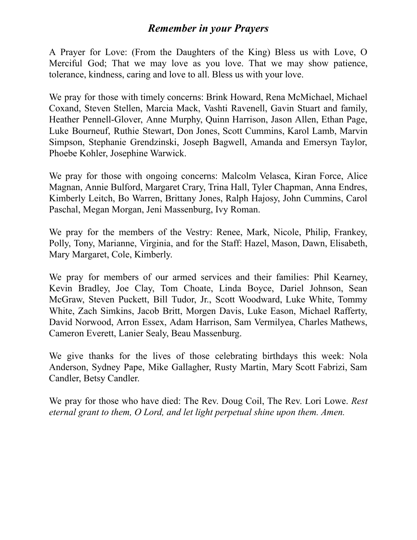## *Remember in your Prayers*

A Prayer for Love: (From the Daughters of the King) Bless us with Love, O Merciful God; That we may love as you love. That we may show patience, tolerance, kindness, caring and love to all. Bless us with your love.

We pray for those with timely concerns: Brink Howard, Rena McMichael, Michael Coxand, Steven Stellen, Marcia Mack, Vashti Ravenell, Gavin Stuart and family, Heather Pennell-Glover, Anne Murphy, Quinn Harrison, Jason Allen, Ethan Page, Luke Bourneuf, Ruthie Stewart, Don Jones, Scott Cummins, Karol Lamb, Marvin Simpson, Stephanie Grendzinski, Joseph Bagwell, Amanda and Emersyn Taylor, Phoebe Kohler, Josephine Warwick.

We pray for those with ongoing concerns: Malcolm Velasca, Kiran Force, Alice Magnan, Annie Bulford, Margaret Crary, Trina Hall, Tyler Chapman, Anna Endres, Kimberly Leitch, Bo Warren, Brittany Jones, Ralph Hajosy, John Cummins, Carol Paschal, Megan Morgan, Jeni Massenburg, Ivy Roman.

We pray for the members of the Vestry: Renee, Mark, Nicole, Philip, Frankey, Polly, Tony, Marianne, Virginia, and for the Staff: Hazel, Mason, Dawn, Elisabeth, Mary Margaret, Cole, Kimberly.

We pray for members of our armed services and their families: Phil Kearney, Kevin Bradley, Joe Clay, Tom Choate, Linda Boyce, Dariel Johnson, Sean McGraw, Steven Puckett, Bill Tudor, Jr., Scott Woodward, Luke White, Tommy White, Zach Simkins, Jacob Britt, Morgen Davis, Luke Eason, Michael Rafferty, David Norwood, Arron Essex, Adam Harrison, Sam Vermilyea, Charles Mathews, Cameron Everett, Lanier Sealy, Beau Massenburg.

We give thanks for the lives of those celebrating birthdays this week: Nola Anderson, Sydney Pape, Mike Gallagher, Rusty Martin, Mary Scott Fabrizi, Sam Candler, Betsy Candler.

We pray for those who have died: The Rev. Doug Coil, The Rev. Lori Lowe. *Rest eternal grant to them, O Lord, and let light perpetual shine upon them. Amen.*